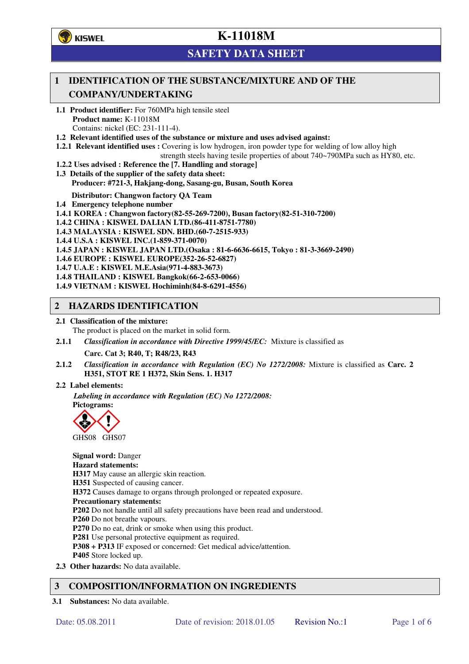**学**)KISWEL

# **K-11018M**

## **SAFETY DATA SHEET**

### **1 IDENTIFICATION OF THE SUBSTANCE/MIXTURE AND OF THE COMPANY/UNDERTAKING**

- **1.1 Product identifier:** For 760MPa high tensile steel **Product name:** K-11018M Contains: nickel (EC: 231-111-4).
- **1.2 Relevant identified uses of the substance or mixture and uses advised against:**
- **1.2.1 Relevant identified uses :** Covering is low hydrogen, iron powder type for welding of low alloy high

strength steels having tesile properties of about 740~790MPa such as HY80, etc.

- **1.2.2 Uses advised : Reference the [7. Handling and storage]**
- **1.3 Details of the supplier of the safety data sheet: Producer: #721-3, Hakjang-dong, Sasang-gu, Busan, South Korea**

**Distributor: Changwon factory QA Team** 

- **1.4 Emergency telephone number**
- **1.4.1 KOREA : Changwon factory(82-55-269-7200), Busan factory(82-51-310-7200)**
- **1.4.2 CHINA : KISWEL DALIAN LTD.(86-411-8751-7780)**
- **1.4.3 MALAYSIA : KISWEL SDN. BHD.(60-7-2515-933)**
- **1.4.4 U.S.A : KISWEL INC.(1-859-371-0070)**
- **1.4.5 JAPAN : KISWEL JAPAN LTD.(Osaka : 81-6-6636-6615, Tokyo : 81-3-3669-2490)**
- **1.4.6 EUROPE : KISWEL EUROPE(352-26-52-6827)**
- **1.4.7 U.A.E : KISWEL M.E.Asia(971-4-883-3673)**
- **1.4.8 THAILAND : KISWEL Bangkok(66-2-653-0066)**
- **1.4.9 VIETNAM : KISWEL Hochiminh(84-8-6291-4556)**

#### **2 HAZARDS IDENTIFICATION**

- **2.1 Classification of the mixture:** 
	- The product is placed on the market in solid form.
- **2.1.1** *Classification in accordance with Directive 1999/45/EC:* Mixture is classified as

**Carc. Cat 3; R40, T; R48/23, R43** 

- **2.1.2** *Classification in accordance with Regulation (EC) No 1272/2008:* Mixture is classified as **Carc. 2 H351, STOT RE 1 H372, Skin Sens. 1. H317**
- **2.2 Label elements:**

*Labeling in accordance with Regulation (EC) No 1272/2008:*  **Pictograms:** 



**Signal word:** Danger **Hazard statements: H317** May cause an allergic skin reaction. **H351** Suspected of causing cancer. **H372** Causes damage to organs through prolonged or repeated exposure. **Precautionary statements: P202** Do not handle until all safety precautions have been read and understood. **P260** Do not breathe vapours. **P270** Do no eat, drink or smoke when using this product. **P281** Use personal protective equipment as required. **P308 + P313** IF exposed or concerned: Get medical advice/attention. **P405** Store locked up. **2.3 Other hazards:** No data available.

### **3 COMPOSITION/INFORMATION ON INGREDIENTS**

**3.1 Substances:** No data available.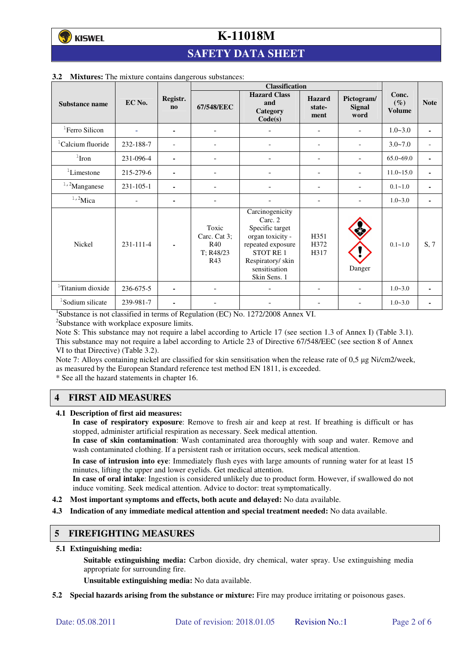## **SAFETY DATA SHEET**

|                               |           |                          | <b>Classification</b>                            |                                                                                                                                                         |                                  |                                     |                                  |                          |
|-------------------------------|-----------|--------------------------|--------------------------------------------------|---------------------------------------------------------------------------------------------------------------------------------------------------------|----------------------------------|-------------------------------------|----------------------------------|--------------------------|
| Substance name                | EC No.    | Registr.<br>$\mathbf{n}$ | 67/548/EEC                                       | <b>Hazard Class</b><br>and<br>Category<br>Code(s)                                                                                                       | <b>Hazard</b><br>state-<br>ment  | Pictogram/<br><b>Signal</b><br>word | Conc.<br>$(\%)$<br><b>Volume</b> | <b>Note</b>              |
| ${}^{1}$ Ferro Silicon        |           | ۰                        | $\blacksquare$                                   |                                                                                                                                                         |                                  |                                     | $1.0 - 3.0$                      | ٠                        |
| <sup>1</sup> Calcium fluoride | 232-188-7 | $\overline{\phantom{0}}$ | $\overline{\phantom{a}}$                         |                                                                                                                                                         | $\overline{a}$                   | $\overline{a}$                      | $3.0 - 7.0$                      | $\overline{\phantom{0}}$ |
| $1$ Iron                      | 231-096-4 | ٠                        |                                                  |                                                                                                                                                         |                                  |                                     | $65.0 - 69.0$                    | ٠                        |
| ${}^{1}$ Limestone            | 215-279-6 | ۰                        | $\overline{a}$                                   |                                                                                                                                                         | ۰                                |                                     | $11.0 - 15.0$                    | $\blacksquare$           |
| $1,2$ Manganese               | 231-105-1 |                          |                                                  |                                                                                                                                                         |                                  | ۰                                   | $0.1 - 1.0$                      | $\blacksquare$           |
| $1,2$ Mica                    |           | ۰                        |                                                  |                                                                                                                                                         |                                  |                                     | $1.0 - 3.0$                      | ٠                        |
| Nickel                        | 231-111-4 |                          | Toxic<br>Carc. Cat 3:<br>R40<br>T: R48/23<br>R43 | Carcinogenicity<br>Carc. 2<br>Specific target<br>organ toxicity -<br>repeated exposure<br>STOT RE1<br>Respiratory/skin<br>sensitisation<br>Skin Sens. 1 | H <sub>351</sub><br>H372<br>H317 | Danger                              | $0.1 - 1.0$                      | S, 7                     |
| <sup>1</sup> Titanium dioxide | 236-675-5 | ۰                        |                                                  |                                                                                                                                                         |                                  |                                     | $1.0 - 3.0$                      | ٠                        |
| <sup>1</sup> Sodium silicate  | 239-981-7 | ٠                        |                                                  |                                                                                                                                                         |                                  |                                     | $1.0 - 3.0$                      |                          |

#### **3.2 Mixtures:** The mixture contains dangerous substances:

<sup>1</sup>Substance is not classified in terms of Regulation (EC) No. 1272/2008 Annex VI.

<sup>2</sup>Substance with workplace exposure limits.

Note S: This substance may not require a label according to Article 17 (see section 1.3 of Annex I) (Table 3.1). This substance may not require a label according to Article 23 of Directive 67/548/EEC (see section 8 of Annex VI to that Directive) (Table 3.2).

Note 7: Alloys containing nickel are classified for skin sensitisation when the release rate of 0,5 µg Ni/cm2/week, as measured by the European Standard reference test method EN 1811, is exceeded.

\* See all the hazard statements in chapter 16.

### **4 FIRST AID MEASURES**

**4.1 Description of first aid measures:** 

**In case of respiratory exposure**: Remove to fresh air and keep at rest. If breathing is difficult or has stopped, administer artificial respiration as necessary. Seek medical attention.

**In case of skin contamination**: Wash contaminated area thoroughly with soap and water. Remove and wash contaminated clothing. If a persistent rash or irritation occurs, seek medical attention.

 **In case of intrusion into eye**: Immediately flush eyes with large amounts of running water for at least 15 minutes, lifting the upper and lower eyelids. Get medical attention.

**In case of oral intake**: Ingestion is considered unlikely due to product form. However, if swallowed do not induce vomiting. Seek medical attention. Advice to doctor: treat symptomatically.

- **4.2 Most important symptoms and effects, both acute and delayed:** No data available.
- **4.3 Indication of any immediate medical attention and special treatment needed:** No data available.

#### **5 FIREFIGHTING MEASURES**

**5.1 Extinguishing media:** 

**Suitable extinguishing media:** Carbon dioxide, dry chemical, water spray. Use extinguishing media appropriate for surrounding fire.

**Unsuitable extinguishing media:** No data available.

**5.2 Special hazards arising from the substance or mixture:** Fire may produce irritating or poisonous gases.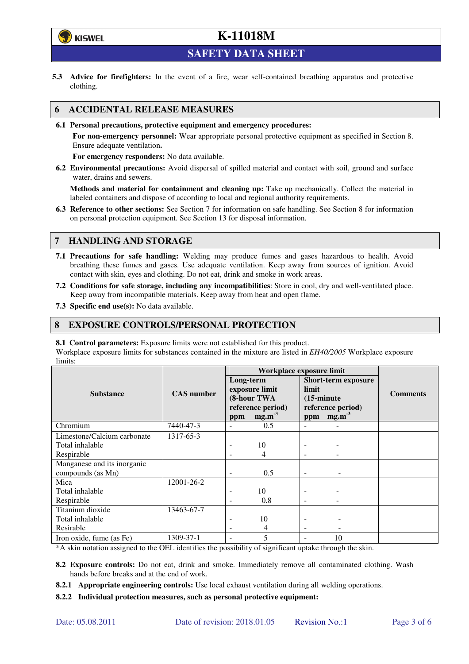

**SAFETY DATA SHEET** 

**5.3 Advice for firefighters:** In the event of a fire, wear self-contained breathing apparatus and protective clothing.

#### **6 ACCIDENTAL RELEASE MEASURES**

**6.1 Personal precautions, protective equipment and emergency procedures:** 

**For non-emergency personnel:** Wear appropriate personal protective equipment as specified in Section 8. Ensure adequate ventilation**.** 

**For emergency responders:** No data available.

**6.2 Environmental precautions:** Avoid dispersal of spilled material and contact with soil, ground and surface water, drains and sewers.

**Methods and material for containment and cleaning up:** Take up mechanically. Collect the material in labeled containers and dispose of according to local and regional authority requirements.

**6.3 Reference to other sections:** See Section 7 for information on safe handling. See Section 8 for information on personal protection equipment. See Section 13 for disposal information.

#### **7 HANDLING AND STORAGE**

- **7.1 Precautions for safe handling:** Welding may produce fumes and gases hazardous to health. Avoid breathing these fumes and gases. Use adequate ventilation. Keep away from sources of ignition. Avoid contact with skin, eyes and clothing. Do not eat, drink and smoke in work areas.
- **7.2 Conditions for safe storage, including any incompatibilities**: Store in cool, dry and well-ventilated place. Keep away from incompatible materials. Keep away from heat and open flame.
- **7.3 Specific end use(s):** No data available.

#### **8 EXPOSURE CONTROLS/PERSONAL PROTECTION**

**8.1 Control parameters:** Exposure limits were not established for this product.

Workplace exposure limits for substances contained in the mixture are listed in *EH40/2005* Workplace exposure limits:

|                             | <b>CAS</b> number | Workplace exposure limit                   |                   |                                                             |                   |                 |  |
|-----------------------------|-------------------|--------------------------------------------|-------------------|-------------------------------------------------------------|-------------------|-----------------|--|
|                             |                   | Long-term<br>exposure limit<br>(8-hour TWA |                   | <b>Short-term exposure</b><br>limit<br>$(15\text{-minute})$ |                   | <b>Comments</b> |  |
| <b>Substance</b>            |                   |                                            |                   |                                                             |                   |                 |  |
|                             |                   |                                            |                   |                                                             |                   |                 |  |
|                             |                   |                                            | reference period) |                                                             | reference period) |                 |  |
|                             |                   | ppm                                        | mg.m <sup>3</sup> | ppm                                                         | mg.m <sup>3</sup> |                 |  |
| Chromium                    | 7440-47-3         |                                            | 0.5               |                                                             |                   |                 |  |
| Limestone/Calcium carbonate | 1317-65-3         |                                            |                   |                                                             |                   |                 |  |
| Total inhalable             |                   |                                            | 10                |                                                             |                   |                 |  |
| Respirable                  |                   |                                            | 4                 |                                                             |                   |                 |  |
| Manganese and its inorganic |                   |                                            |                   |                                                             |                   |                 |  |
| compounds (as Mn)           |                   |                                            | 0.5               |                                                             |                   |                 |  |
| Mica                        | 12001-26-2        |                                            |                   |                                                             |                   |                 |  |
| Total inhalable             |                   |                                            | 10                |                                                             |                   |                 |  |
| Respirable                  |                   |                                            | 0.8               |                                                             |                   |                 |  |
| Titanium dioxide            | 13463-67-7        |                                            |                   |                                                             |                   |                 |  |
| Total inhalable             |                   |                                            | 10                |                                                             |                   |                 |  |
| Resirable                   |                   |                                            | 4                 | $\overline{\phantom{a}}$                                    |                   |                 |  |
| Iron oxide, fume (as Fe)    | 1309-37-1         |                                            | 5                 |                                                             | 10                |                 |  |

\*A skin notation assigned to the OEL identifies the possibility of significant uptake through the skin.

- **8.2 Exposure controls:** Do not eat, drink and smoke. Immediately remove all contaminated clothing. Wash hands before breaks and at the end of work.
- **8.2.1 Appropriate engineering controls:** Use local exhaust ventilation during all welding operations.
- **8.2.2 Individual protection measures, such as personal protective equipment:**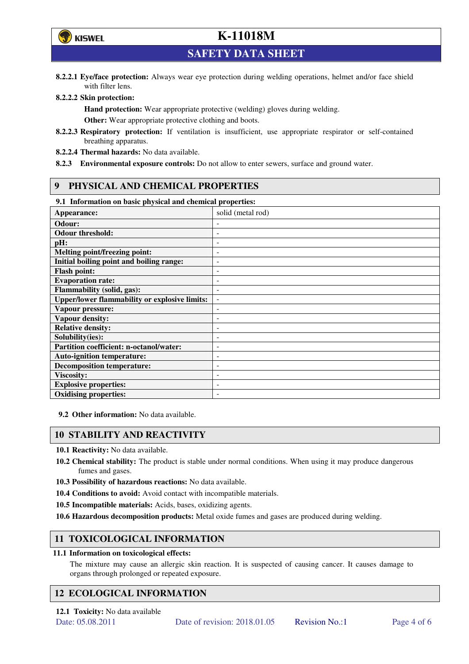

**SAFETY DATA SHEET** 

**8.2.2.1 Eye/face protection:** Always wear eye protection during welding operations, helmet and/or face shield with filter lens.

#### **8.2.2.2 Skin protection:**

**Hand protection:** Wear appropriate protective (welding) gloves during welding. **Other:** Wear appropriate protective clothing and boots.

- **8.2.2.3 Respiratory protection:** If ventilation is insufficient, use appropriate respirator or self-contained breathing apparatus.
- **8.2.2.4 Thermal hazards:** No data available.
- **8.2.3 Environmental exposure controls:** Do not allow to enter sewers, surface and ground water.

#### **9 PHYSICAL AND CHEMICAL PROPERTIES**

#### **9.1 Information on basic physical and chemical properties:**

| 2.1 - 111101 matron on basic physical and chemical properties. |                              |
|----------------------------------------------------------------|------------------------------|
| Appearance:                                                    | solid (metal rod)            |
| Odour:                                                         |                              |
| <b>Odour threshold:</b>                                        | ٠                            |
| pH:                                                            | $\overline{a}$               |
| Melting point/freezing point:                                  | ٠                            |
| Initial boiling point and boiling range:                       | $\qquad \qquad \blacksquare$ |
| <b>Flash point:</b>                                            |                              |
| <b>Evaporation rate:</b>                                       | $\overline{a}$               |
| <b>Flammability (solid, gas):</b>                              | ٠                            |
| <b>Upper/lower flammability or explosive limits:</b>           | $\overline{\phantom{a}}$     |
| Vapour pressure:                                               | $\qquad \qquad \blacksquare$ |
| <b>Vapour density:</b>                                         | ٠                            |
| <b>Relative density:</b>                                       |                              |
| Solubility(ies):                                               |                              |
| Partition coefficient: n-octanol/water:                        | $\qquad \qquad \blacksquare$ |
| <b>Auto-ignition temperature:</b>                              | ۰                            |
| <b>Decomposition temperature:</b>                              | ۰                            |
| <b>Viscosity:</b>                                              |                              |
| <b>Explosive properties:</b>                                   | $\overline{\phantom{a}}$     |
| <b>Oxidising properties:</b>                                   | ۰                            |

**9.2 Other information:** No data available.

#### **10 STABILITY AND REACTIVITY**

**10.1 Reactivity:** No data available.

- **10.2 Chemical stability:** The product is stable under normal conditions. When using it may produce dangerous fumes and gases.
- **10.3 Possibility of hazardous reactions:** No data available.
- **10.4 Conditions to avoid:** Avoid contact with incompatible materials.
- **10.5 Incompatible materials:** Acids, bases, oxidizing agents.
- **10.6 Hazardous decomposition products:** Metal oxide fumes and gases are produced during welding.

### **11 TOXICOLOGICAL INFORMATION**

#### **11.1 Information on toxicological effects:**

The mixture may cause an allergic skin reaction. It is suspected of causing cancer. It causes damage to organs through prolonged or repeated exposure.

### **12 ECOLOGICAL INFORMATION**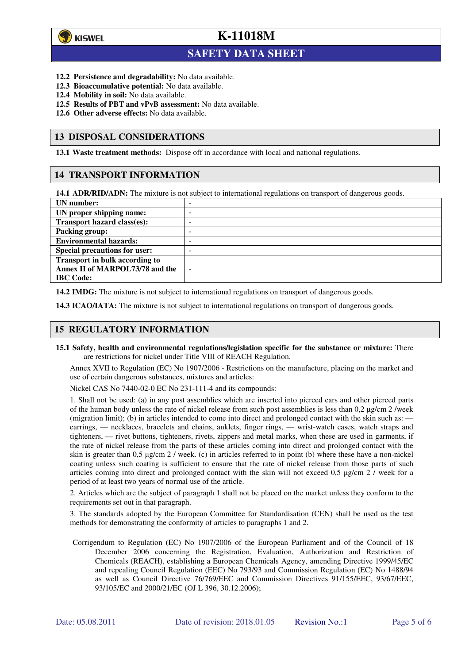

 $\overline{a}$ 

## **K-11018M**

### **SAFETY DATA SHEET**

- **12.2 Persistence and degradability:** No data available.
- **12.3 Bioaccumulative potential:** No data available.
- **12.4 Mobility in soil:** No data available.
- **12.5 Results of PBT and vPvB assessment:** No data available.
- **12.6 Other adverse effects:** No data available.

#### **13 DISPOSAL CONSIDERATIONS**

**13.1 Waste treatment methods:** Dispose off in accordance with local and national regulations.

#### **14 TRANSPORT INFORMATION**

**14.1 ADR/RID/ADN:** The mixture is not subject to international regulations on transport of dangerous goods.

| UN number:                            | - |
|---------------------------------------|---|
| UN proper shipping name:              | - |
| Transport hazard class(es):           | - |
| <b>Packing group:</b>                 | - |
| <b>Environmental hazards:</b>         | - |
| <b>Special precautions for user:</b>  | - |
| <b>Transport in bulk according to</b> |   |
| Annex II of MARPOL73/78 and the       | ÷ |
| <b>IBC</b> Code:                      |   |

**14.2 IMDG:** The mixture is not subject to international regulations on transport of dangerous goods.

**14.3 ICAO/IATA:** The mixture is not subject to international regulations on transport of dangerous goods.

#### **15 REGULATORY INFORMATION**

**15.1 Safety, health and environmental regulations/legislation specific for the substance or mixture:** There are restrictions for nickel under Title VIII of REACH Regulation.

Annex XVII to Regulation (EC) No 1907/2006 - Restrictions on the manufacture, placing on the market and use of certain dangerous substances, mixtures and articles:

Nickel CAS No 7440-02-0 EC No 231-111-4 and its compounds:

1. Shall not be used: (a) in any post assemblies which are inserted into pierced ears and other pierced parts of the human body unless the rate of nickel release from such post assemblies is less than  $0.2 \mu$ g/cm  $2$ /week (migration limit); (b) in articles intended to come into direct and prolonged contact with the skin such as: earrings, — necklaces, bracelets and chains, anklets, finger rings, — wrist-watch cases, watch straps and tighteners, — rivet buttons, tighteners, rivets, zippers and metal marks, when these are used in garments, if the rate of nickel release from the parts of these articles coming into direct and prolonged contact with the skin is greater than 0,5 µg/cm 2 / week. (c) in articles referred to in point (b) where these have a non-nickel coating unless such coating is sufficient to ensure that the rate of nickel release from those parts of such articles coming into direct and prolonged contact with the skin will not exceed 0,5 µg/cm 2 / week for a period of at least two years of normal use of the article.

2. Articles which are the subject of paragraph 1 shall not be placed on the market unless they conform to the requirements set out in that paragraph.

3. The standards adopted by the European Committee for Standardisation (CEN) shall be used as the test methods for demonstrating the conformity of articles to paragraphs 1 and 2.

Corrigendum to Regulation (EC) No 1907/2006 of the European Parliament and of the Council of 18 December 2006 concerning the Registration, Evaluation, Authorization and Restriction of Chemicals (REACH), establishing a European Chemicals Agency, amending Directive 1999/45/EC and repealing Council Regulation (EEC) No 793/93 and Commission Regulation (EC) No 1488/94 as well as Council Directive 76/769/EEC and Commission Directives 91/155/EEC, 93/67/EEC, 93/105/EC and 2000/21/EC (OJ L 396, 30.12.2006);